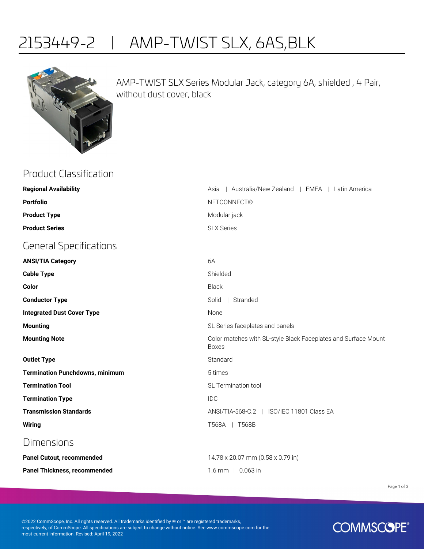## 2153449-2 | AMP-TWIST SLX, 6AS,BLK



AMP-TWIST SLX Series Modular Jack, category 6A, shielded , 4 Pair, without dust cover, black

| <b>Product Classification</b>          |                                                                                |
|----------------------------------------|--------------------------------------------------------------------------------|
| <b>Regional Availability</b>           | Australia/New Zealand   EMEA   Latin America<br>Asia                           |
| <b>Portfolio</b>                       | <b>NETCONNECT®</b>                                                             |
| <b>Product Type</b>                    | Modular jack                                                                   |
| <b>Product Series</b>                  | <b>SLX Series</b>                                                              |
| <b>General Specifications</b>          |                                                                                |
| <b>ANSI/TIA Category</b>               | 6A                                                                             |
| <b>Cable Type</b>                      | Shielded                                                                       |
| Color                                  | <b>Black</b>                                                                   |
| <b>Conductor Type</b>                  | Solid<br>  Stranded                                                            |
| <b>Integrated Dust Cover Type</b>      | None                                                                           |
| <b>Mounting</b>                        | SL Series faceplates and panels                                                |
| <b>Mounting Note</b>                   | Color matches with SL-style Black Faceplates and Surface Mount<br><b>Boxes</b> |
| <b>Outlet Type</b>                     | Standard                                                                       |
| <b>Termination Punchdowns, minimum</b> | 5 times                                                                        |
| <b>Termination Tool</b>                | SL Termination tool                                                            |
| <b>Termination Type</b>                | <b>IDC</b>                                                                     |
| <b>Transmission Standards</b>          | ANSI/TIA-568-C.2   ISO/IEC 11801 Class EA                                      |
| <b>Wiring</b>                          | T568A   T568B                                                                  |
| Dimensions                             |                                                                                |
| <b>Panel Cutout, recommended</b>       | 14.78 x 20.07 mm (0.58 x 0.79 in)                                              |
| <b>Panel Thickness, recommended</b>    | 1.6 mm   0.063 in                                                              |

Page 1 of 3

©2022 CommScope, Inc. All rights reserved. All trademarks identified by ® or ™ are registered trademarks, respectively, of CommScope. All specifications are subject to change without notice. See www.commscope.com for the most current information. Revised: April 19, 2022

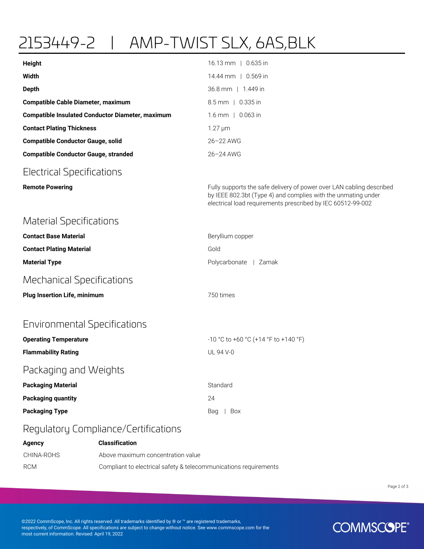## 2153449-2 | AMP-TWIST SLX, 6AS,BLK

| <b>Height</b>                                           | 16.13 mm   0.635 in                                                                                                                                                                                  |
|---------------------------------------------------------|------------------------------------------------------------------------------------------------------------------------------------------------------------------------------------------------------|
| Width                                                   | 14.44 mm   0.569 in                                                                                                                                                                                  |
| <b>Depth</b>                                            | 36.8 mm   1.449 in                                                                                                                                                                                   |
| <b>Compatible Cable Diameter, maximum</b>               | 8.5 mm   0.335 in                                                                                                                                                                                    |
| <b>Compatible Insulated Conductor Diameter, maximum</b> | 1.6 mm   0.063 in                                                                                                                                                                                    |
| <b>Contact Plating Thickness</b>                        | $1.27 \mu m$                                                                                                                                                                                         |
| <b>Compatible Conductor Gauge, solid</b>                | 26-22 AWG                                                                                                                                                                                            |
| <b>Compatible Conductor Gauge, stranded</b>             | 26-24 AWG                                                                                                                                                                                            |
| Electrical Specifications                               |                                                                                                                                                                                                      |
| <b>Remote Powering</b>                                  | Fully supports the safe delivery of power over LAN cabling described<br>by IEEE 802.3bt (Type 4) and complies with the unmating under<br>electrical load requirements prescribed by IEC 60512-99-002 |
| <b>Material Specifications</b>                          |                                                                                                                                                                                                      |
| <b>Contact Base Material</b>                            | Beryllium copper                                                                                                                                                                                     |
| <b>Contact Plating Material</b>                         | Gold                                                                                                                                                                                                 |
| <b>Material Type</b>                                    | Polycarbonate   Zamak                                                                                                                                                                                |
| <b>Mechanical Specifications</b>                        |                                                                                                                                                                                                      |
| <b>Plug Insertion Life, minimum</b>                     | 750 times                                                                                                                                                                                            |
| <b>Environmental Specifications</b>                     |                                                                                                                                                                                                      |
| <b>Operating Temperature</b>                            | -10 °C to +60 °C (+14 °F to +140 °F)                                                                                                                                                                 |
| <b>Flammability Rating</b>                              | UL 94 V-0                                                                                                                                                                                            |
| Packaging and Weights                                   |                                                                                                                                                                                                      |
| <b>Packaging Material</b>                               | Standard                                                                                                                                                                                             |
| <b>Packaging quantity</b>                               | 24                                                                                                                                                                                                   |
| <b>Packaging Type</b>                                   | Box<br>Bag                                                                                                                                                                                           |
|                                                         |                                                                                                                                                                                                      |

## Regulatory Compliance/Certifications

ROHS Compliant/Exempted

| Agency     | <b>Classification</b>                                            |
|------------|------------------------------------------------------------------|
| CHINA-ROHS | Above maximum concentration value                                |
| <b>RCM</b> | Compliant to electrical safety & telecommunications requirements |

Page 2 of 3

©2022 CommScope, Inc. All rights reserved. All trademarks identified by ® or ™ are registered trademarks, respectively, of CommScope. All specifications are subject to change without notice. See www.commscope.com for the most current information. Revised: April 19, 2022